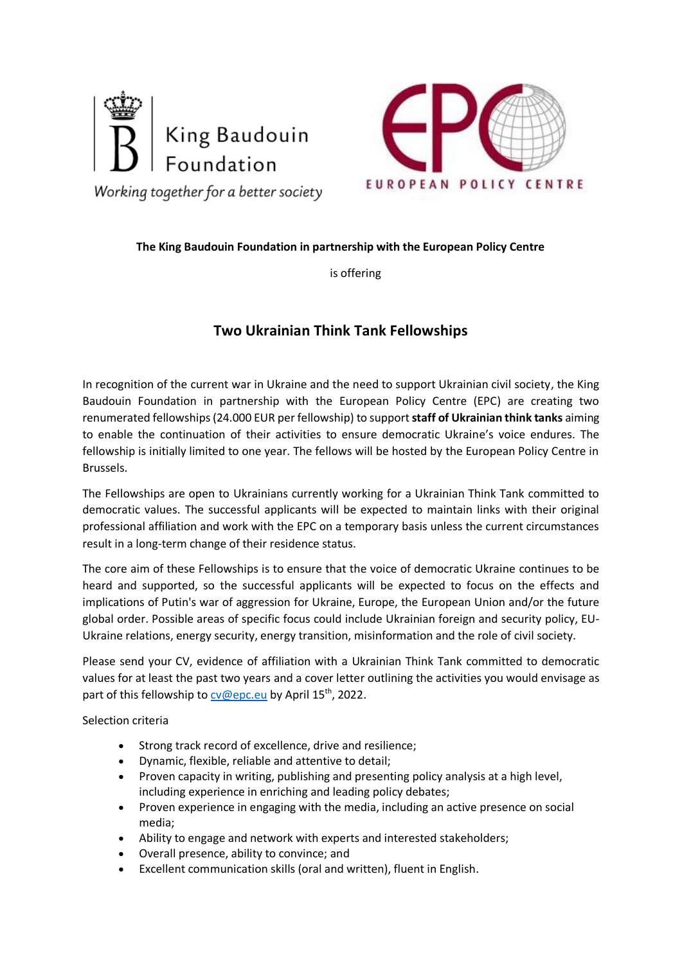



Working together for a better society

## **The King Baudouin Foundation in partnership with the European Policy Centre**

is offering

## **Two Ukrainian Think Tank Fellowships**

In recognition of the current war in Ukraine and the need to support Ukrainian civil society, the King Baudouin Foundation in partnership with the European Policy Centre (EPC) are creating two renumerated fellowships (24.000 EUR per fellowship) to support **staff of Ukrainian think tanks** aiming to enable the continuation of their activities to ensure democratic Ukraine's voice endures. The fellowship is initially limited to one year. The fellows will be hosted by the European Policy Centre in Brussels.

The Fellowships are open to Ukrainians currently working for a Ukrainian Think Tank committed to democratic values. The successful applicants will be expected to maintain links with their original professional affiliation and work with the EPC on a temporary basis unless the current circumstances result in a long-term change of their residence status.

The core aim of these Fellowships is to ensure that the voice of democratic Ukraine continues to be heard and supported, so the successful applicants will be expected to focus on the effects and implications of Putin's war of aggression for Ukraine, Europe, the European Union and/or the future global order. Possible areas of specific focus could include Ukrainian foreign and security policy, EU-Ukraine relations, energy security, energy transition, misinformation and the role of civil society.

Please send your CV, evidence of affiliation with a Ukrainian Think Tank committed to democratic values for at least the past two years and a cover letter outlining the activities you would envisage as part of this fellowship to [cv@epc.eu](mailto:cv@epc.eu) by April 15<sup>th</sup>, 2022.

Selection criteria

- Strong track record of excellence, drive and resilience;
- Dynamic, flexible, reliable and attentive to detail;
- Proven capacity in writing, publishing and presenting policy analysis at a high level, including experience in enriching and leading policy debates;
- Proven experience in engaging with the media, including an active presence on social media;
- Ability to engage and network with experts and interested stakeholders;
- Overall presence, ability to convince; and
- Excellent communication skills (oral and written), fluent in English.